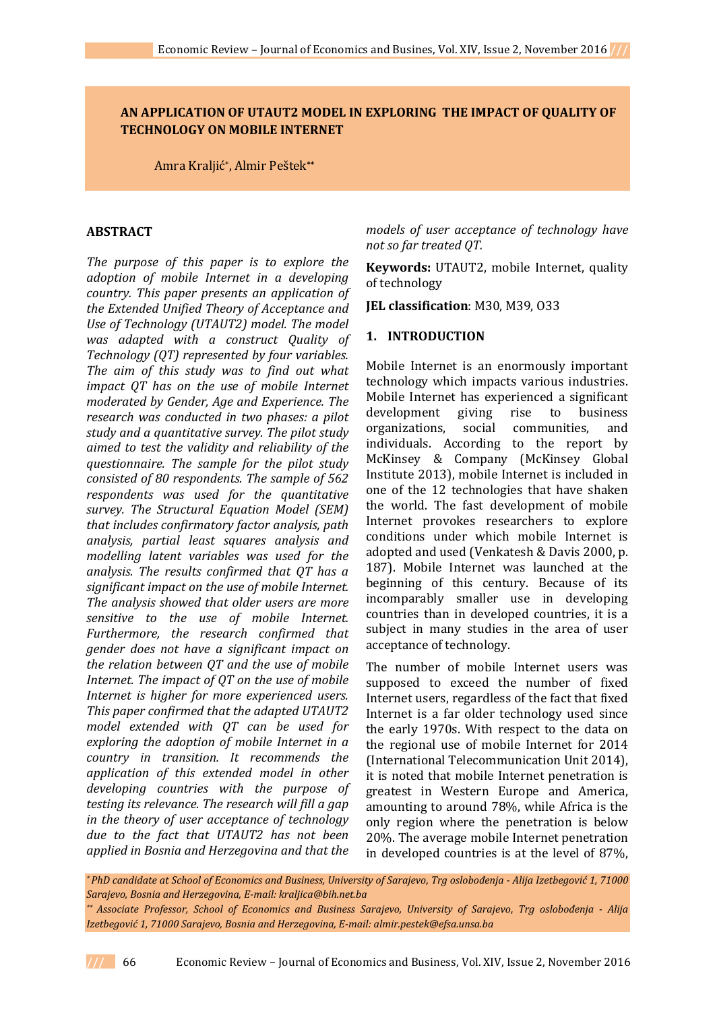# **AN APPLICATION OF UTAUT2 MODEL IN EXPLORING THE IMPACT OF QUALITY OF TECHNOLOGY ON MOBILE INTERNET**

Amra Kraljić\* , Almir Peštek**\*\***

### **ABSTRACT**

*The purpose of this paper is to explore the adoption of mobile Internet in a developing country. This paper presents an application of the Extended Unified Theory of Acceptance and Use of Technology (UTAUT2) model. The model was adapted with a construct Quality of Technology (QT) represented by four variables. The aim of this study was to find out what impact QT has on the use of mobile Internet moderated by Gender, Age and Experience. The research was conducted in two phases: a pilot study and a quantitative survey. The pilot study aimed to test the validity and reliability of the questionnaire. The sample for the pilot study consisted of 80 respondents. The sample of 562 respondents was used for the quantitative survey. The Structural Equation Model (SEM) that includes confirmatory factor analysis, path analysis, partial least squares analysis and modelling latent variables was used for the analysis. The results confirmed that QT has a significant impact on the use of mobile Internet. The analysis showed that older users are more sensitive to the use of mobile Internet. Furthermore, the research confirmed that gender does not have a significant impact on the relation between QT and the use of mobile Internet. The impact of QT on the use of mobile Internet is higher for more experienced users. This paper confirmed that the adapted UTAUT2 model extended with QT can be used for exploring the adoption of mobile Internet in a country in transition. It recommends the application of this extended model in other developing countries with the purpose of testing its relevance. The research will fill a gap in the theory of user acceptance of technology due to the fact that UTAUT2 has not been applied in Bosnia and Herzegovina and that the* 

*models of user acceptance of technology have not so far treated QT.*

**Keywords:** UTAUT2, mobile Internet, quality of technology

**JEL classification**: M30, M39, O33

### **1. INTRODUCTION**

Mobile Internet is an enormously important technology which impacts various industries. Mobile Internet has experienced a significant development giving rise to business organizations, social communities, and individuals. According to the report by McKinsey & Company (McKinsey Global Institute 2013), mobile Internet is included in one of the 12 technologies that have shaken the world. The fast development of mobile Internet provokes researchers to explore conditions under which mobile Internet is adopted and used (Venkatesh & Davis 2000, p. 187). Mobile Internet was launched at the beginning of this century. Because of its incomparably smaller use in developing countries than in developed countries, it is a subject in many studies in the area of user acceptance of technology.

The number of mobile Internet users was supposed to exceed the number of fixed Internet users, regardless of the fact that fixed Internet is a far older technology used since the early 1970s. With respect to the data on the regional use of mobile Internet for 2014 (International Telecommunication Unit 2014), it is noted that mobile Internet penetration is greatest in Western Europe and America, amounting to around 78%, while Africa is the only region where the penetration is below 20%. The average mobile Internet penetration in developed countries is at the level of 87%,

*\* PhD candidate at School of Economics and Business, University of Sarajevo, Trg oslobođenja - Alija Izetbegović 1, 71000 Sarajevo, Bosnia and Herzegovina, E-mail: kraljica@bih.net.ba*

*\*\* Associate Professor, School of Economics and Business Sarajevo, University of Sarajevo, Trg oslobođenja - Alija Izetbegović 1, 71000 Sarajevo, Bosnia and Herzegovina, E-mail: almir.pestek@efsa.unsa.ba*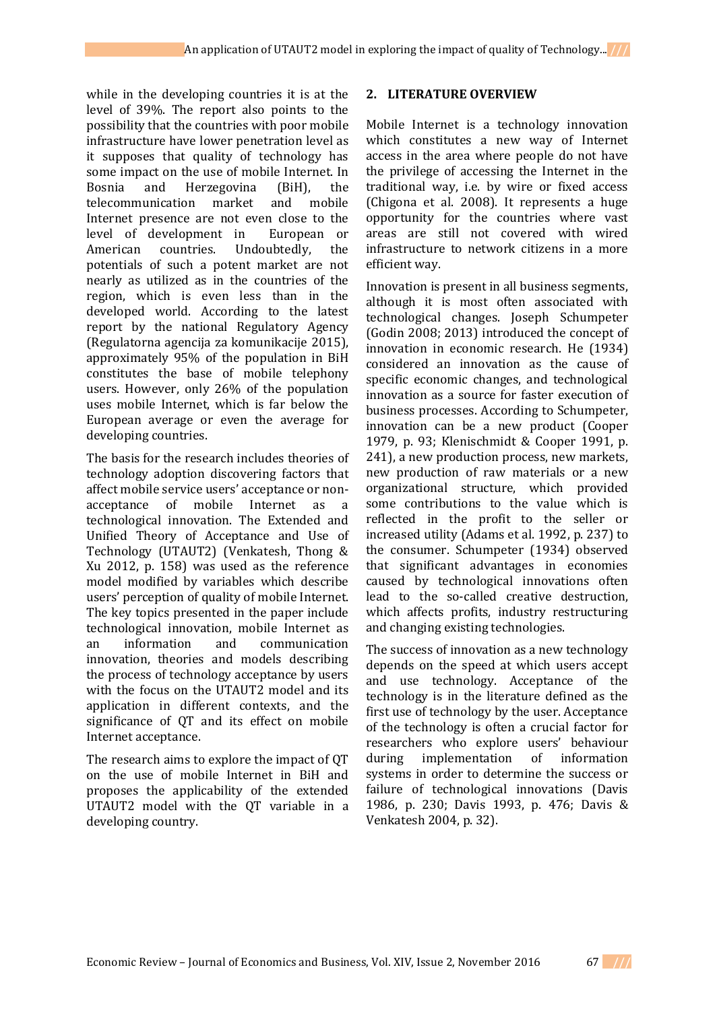while in the developing countries it is at the level of 39%. The report also points to the possibility that the countries with poor mobile infrastructure have lower penetration level as it supposes that quality of technology has some impact on the use of mobile Internet. In Bosnia and Herzegovina (BiH), the telecommunication market and mobile Internet presence are not even close to the level of development in European or American countries. Undoubtedly, the potentials of such a potent market are not nearly as utilized as in the countries of the region, which is even less than in the developed world. According to the latest report by the national Regulatory Agency (Regulatorna agencija za komunikacije 2015), approximately 95% of the population in BiH constitutes the base of mobile telephony users. However, only 26% of the population uses mobile Internet, which is far below the European average or even the average for developing countries.

The basis for the research includes theories of technology adoption discovering factors that affect mobile service users' acceptance or nonacceptance of mobile Internet as a technological innovation. The Extended and Unified Theory of Acceptance and Use of Technology (UTAUT2) (Venkatesh, Thong & Xu 2012, p. 158) was used as the reference model modified by variables which describe users' perception of quality of mobile Internet. The key topics presented in the paper include technological innovation, mobile Internet as an information and communication innovation, theories and models describing the process of technology acceptance by users with the focus on the UTAUT2 model and its application in different contexts, and the significance of QT and its effect on mobile Internet acceptance.

The research aims to explore the impact of QT on the use of mobile Internet in BiH and proposes the applicability of the extended UTAUT2 model with the QT variable in a developing country.

## **2. LITERATURE OVERVIEW**

Mobile Internet is a technology innovation which constitutes a new way of Internet access in the area where people do not have the privilege of accessing the Internet in the traditional way, i.e. by wire or fixed access (Chigona et al. 2008). It represents a huge opportunity for the countries where vast areas are still not covered with wired infrastructure to network citizens in a more efficient way.

Innovation is present in all business segments, although it is most often associated with technological changes. Joseph Schumpeter (Godin 2008; 2013) introduced the concept of innovation in economic research. He (1934) considered an innovation as the cause of specific economic changes, and technological innovation as a source for faster execution of business processes. According to Schumpeter, innovation can be a new product (Cooper 1979, p. 93; Klenischmidt & Cooper 1991, p. 241), a new production process, new markets, new production of raw materials or a new organizational structure, which provided some contributions to the value which is reflected in the profit to the seller or increased utility (Adams et al. 1992, p. 237) to the consumer. Schumpeter (1934) observed that significant advantages in economies caused by technological innovations often lead to the so-called creative destruction, which affects profits, industry restructuring and changing existing technologies.

The success of innovation as a new technology depends on the speed at which users accept and use technology. Acceptance of the technology is in the literature defined as the first use of technology by the user. Acceptance of the technology is often a crucial factor for researchers who explore users' behaviour during implementation of information systems in order to determine the success or failure of technological innovations (Davis 1986, p. 230; Davis 1993, p. 476; Davis & Venkatesh 2004, p. 32).

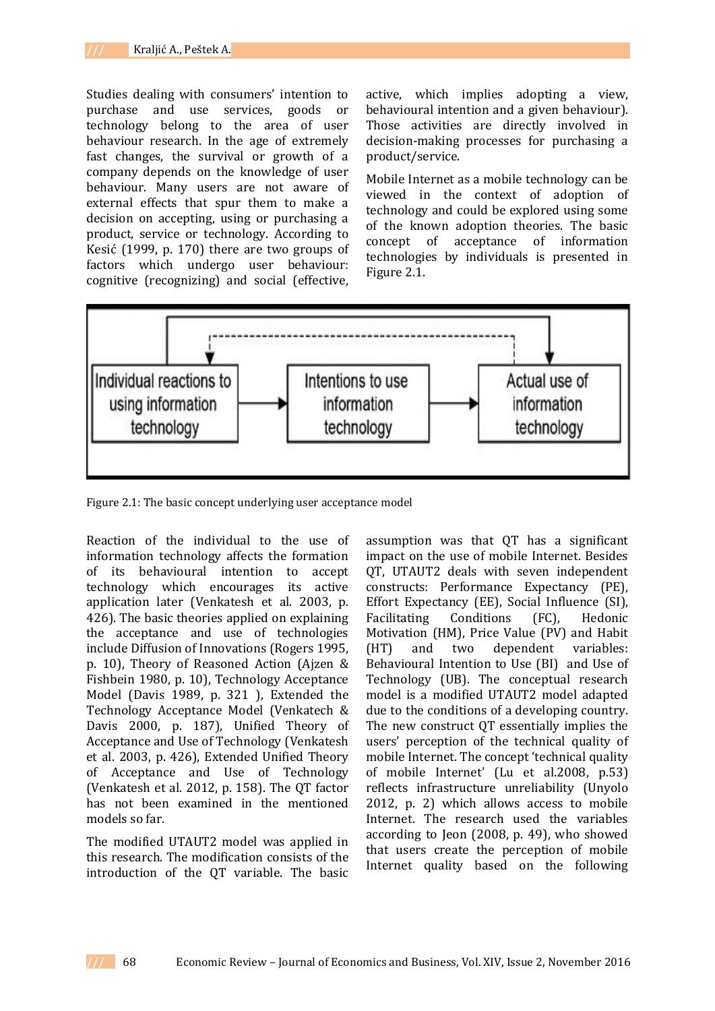Studies dealing with consumers' intention to purchase and use services, goods or technology belong to the area of user behaviour research. In the age of extremely fast changes, the survival or growth of a company depends on the knowledge of user behaviour. Many users are not aware of external effects that spur them to make a decision on accepting, using or purchasing a product, service or technology. According to Kesić (1999, p. 170) there are two groups of factors which undergo user behaviour: cognitive (recognizing) and social (effective,

active, which implies adopting a view, behavioural intention and a given behaviour). Those activities are directly involved in decision-making processes for purchasing a product/service.

Mobile Internet as a mobile technology can be viewed in the context of adoption of technology and could be explored using some of the known adoption theories. The basic concept of acceptance of information technologies by individuals is presented in Figure 2.1.



Figure 2.1: The basic concept underlying user acceptance model

Reaction of the individual to the use of information technology affects the formation of its behavioural intention to accept technology which encourages its active application later (Venkatesh et al. 2003, p. 426). The basic theories applied on explaining the acceptance and use of technologies include Diffusion of Innovations (Rogers 1995, p. 10), Theory of Reasoned Action (Ajzen & Fishbein 1980, p. 10), Technology Acceptance Model (Davis 1989, p. 321 ), Extended the Technology Acceptance Model (Venkatech & Davis 2000, p. 187), Unified Theory of Acceptance and Use of Technology (Venkatesh et al. 2003, p. 426), Extended Unified Theory of Acceptance and Use of Technology (Venkatesh et al. 2012, p. 158). The QT factor has not been examined in the mentioned models so far.

The modified UTAUT2 model was applied in this research. The modification consists of the introduction of the QT variable. The basic assumption was that QT has a significant impact on the use of mobile Internet. Besides QT, UTAUT2 deals with seven independent constructs: Performance Expectancy (PE), Effort Expectancy (EE), Social Influence (SI), Facilitating Conditions (FC), Hedonic Motivation (HM), Price Value (PV) and Habit (HT) and two dependent variables: Behavioural Intention to Use (BI) and Use of Technology (UB). The conceptual research model is a modified UTAUT2 model adapted due to the conditions of a developing country. The new construct QT essentially implies the users' perception of the technical quality of mobile Internet. The concept 'technical quality of mobile Internet' (Lu et al.2008, p.53) reflects infrastructure unreliability (Unyolo 2012, p. 2) which allows access to mobile Internet. The research used the variables according to Jeon (2008, p. 49), who showed that users create the perception of mobile Internet quality based on the following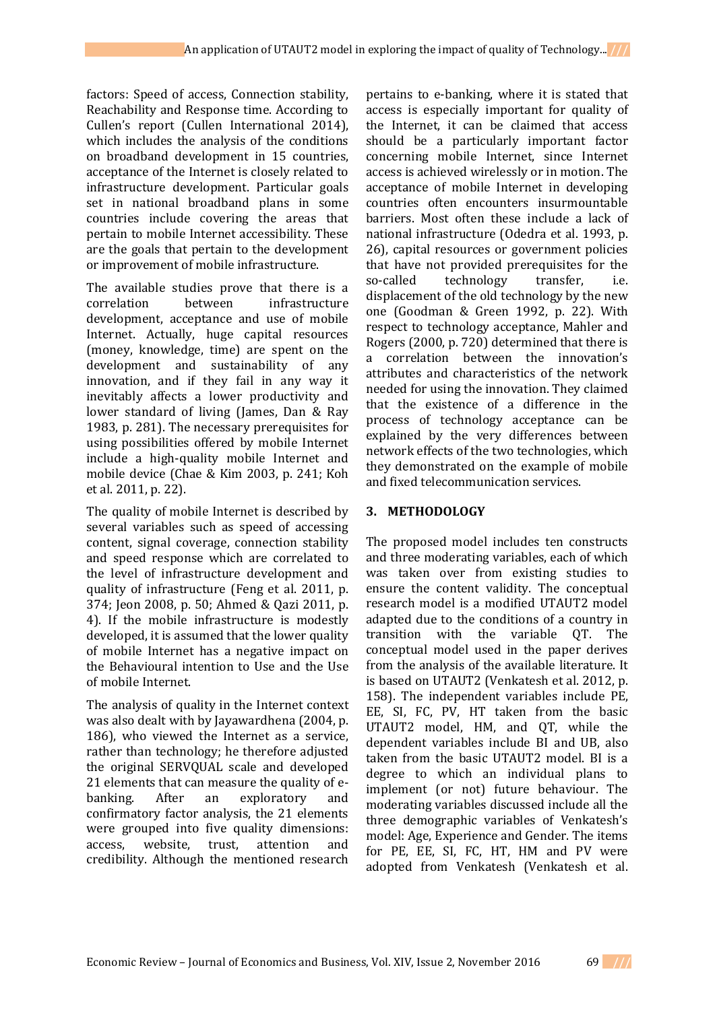factors: Speed of access, Connection stability, Reachability and Response time. According to Cullen's report (Cullen International 2014), which includes the analysis of the conditions on broadband development in 15 countries, acceptance of the Internet is closely related to infrastructure development. Particular goals set in national broadband plans in some countries include covering the areas that pertain to mobile Internet accessibility. These are the goals that pertain to the development or improvement of mobile infrastructure.

The available studies prove that there is a correlation between infrastructure development, acceptance and use of mobile Internet. Actually, huge capital resources (money, knowledge, time) are spent on the development and sustainability of any innovation, and if they fail in any way it inevitably affects a lower productivity and lower standard of living (James, Dan & Ray 1983, p. 281). The necessary prerequisites for using possibilities offered by mobile Internet include a high-quality mobile Internet and mobile device (Chae & Kim 2003, p. 241; Koh et al. 2011, p. 22).

The quality of mobile Internet is described by several variables such as speed of accessing content, signal coverage, connection stability and speed response which are correlated to the level of infrastructure development and quality of infrastructure (Feng et al. 2011, p. 374; Jeon 2008, p. 50; Ahmed & Qazi 2011, p. 4). If the mobile infrastructure is modestly developed, it is assumed that the lower quality of mobile Internet has a negative impact on the Behavioural intention to Use and the Use of mobile Internet.

The analysis of quality in the Internet context was also dealt with by Jayawardhena (2004, p. 186), who viewed the Internet as a service, rather than technology; he therefore adjusted the original SERVQUAL scale and developed 21 elements that can measure the quality of ebanking. After an exploratory and confirmatory factor analysis, the 21 elements were grouped into five quality dimensions: access, website, trust, attention and credibility. Although the mentioned research

pertains to e-banking, where it is stated that access is especially important for quality of the Internet, it can be claimed that access should be a particularly important factor concerning mobile Internet, since Internet access is achieved wirelessly or in motion. The acceptance of mobile Internet in developing countries often encounters insurmountable barriers. Most often these include a lack of national infrastructure (Odedra et al. 1993, p. 26), capital resources or government policies that have not provided prerequisites for the so-called technology transfer, i.e. displacement of the old technology by the new one (Goodman & Green 1992, p. 22). With respect to technology acceptance, Mahler and Rogers (2000, p. 720) determined that there is a correlation between the innovation's attributes and characteristics of the network needed for using the innovation. They claimed that the existence of a difference in the process of technology acceptance can be explained by the very differences between network effects of the two technologies, which they demonstrated on the example of mobile and fixed telecommunication services.

# **3. METHODOLOGY**

The proposed model includes ten constructs and three moderating variables, each of which was taken over from existing studies to ensure the content validity. The conceptual research model is a modified UTAUT2 model adapted due to the conditions of a country in transition with the variable QT. The conceptual model used in the paper derives from the analysis of the available literature. It is based on UTAUT2 (Venkatesh et al. 2012, p. 158). The independent variables include PE, EE, SI, FC, PV, HT taken from the basic UTAUT2 model, HM, and QT, while the dependent variables include BI and UB, also taken from the basic UTAUT2 model. BI is a degree to which an individual plans to implement (or not) future behaviour. The moderating variables discussed include all the three demographic variables of Venkatesh's model: Age, Experience and Gender. The items for PE, EE, SI, FC, HT, HM and PV were adopted from Venkatesh (Venkatesh et al.

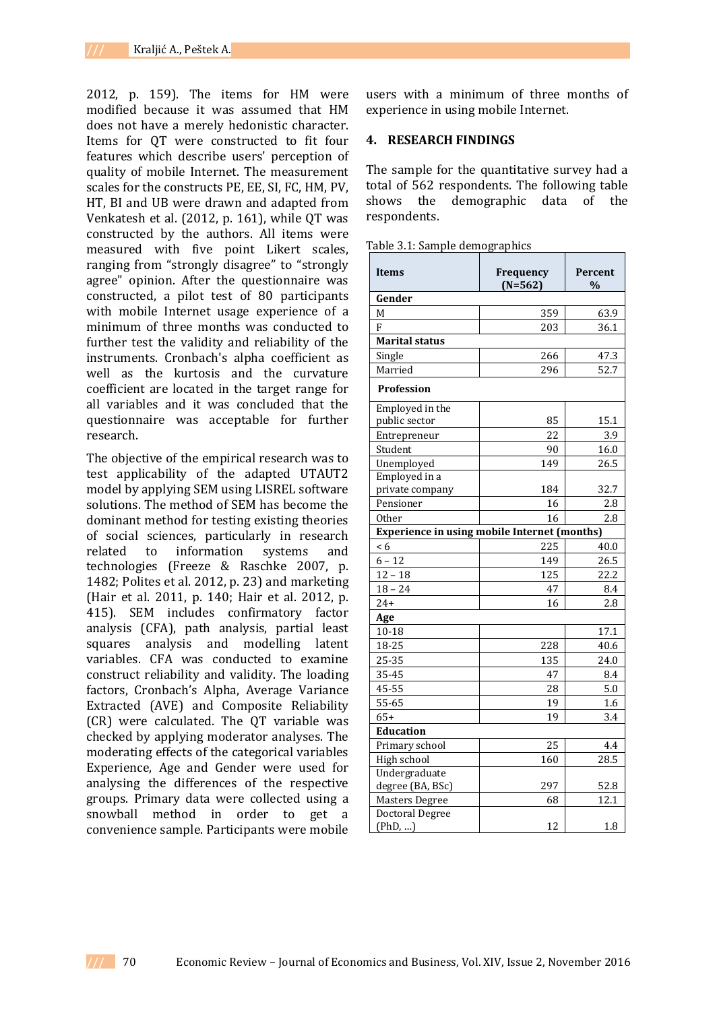2012, p. 159). The items for HM were modified because it was assumed that HM does not have a merely hedonistic character. Items for QT were constructed to fit four features which describe users' perception of quality of mobile Internet. The measurement scales for the constructs PE, EE, SI, FC, HM, PV, HT, BI and UB were drawn and adapted from Venkatesh et al. (2012, p. 161), while QT was constructed by the authors. All items were measured with five point Likert scales, ranging from "strongly disagree" to "strongly agree" opinion. After the questionnaire was constructed, a pilot test of 80 participants with mobile Internet usage experience of a minimum of three months was conducted to further test the validity and reliability of the instruments. Cronbach's alpha coefficient as well as the kurtosis and the curvature coefficient are located in the target range for all variables and it was concluded that the questionnaire was acceptable for further research.

The objective of the empirical research was to test applicability of the adapted UTAUT2 model by applying SEM using LISREL software solutions. The method of SEM has become the dominant method for testing existing theories of social sciences, particularly in research related to information systems and technologies (Freeze & Raschke 2007, p. 1482; Polites et al. 2012, p. 23) and marketing (Hair et al. 2011, p. 140; Hair et al. 2012, p. 415). SEM includes confirmatory factor analysis (CFA), path analysis, partial least squares analysis and modelling latent variables. CFA was conducted to examine construct reliability and validity. The loading factors, Cronbach's Alpha, Average Variance Extracted (AVE) and Composite Reliability (CR) were calculated. The QT variable was checked by applying moderator analyses. The moderating effects of the categorical variables Experience, Age and Gender were used for analysing the differences of the respective groups. Primary data were collected using a snowball method in order to get a convenience sample. Participants were mobile

users with a minimum of three months of experience in using mobile Internet.

## **4. RESEARCH FINDINGS**

The sample for the quantitative survey had a total of 562 respondents. The following table shows the demographic data of the respondents.

|  |  |  |  | Table 3.1: Sample demographics |
|--|--|--|--|--------------------------------|
|--|--|--|--|--------------------------------|

| <b>Items</b>                                        | Frequency | Percent |
|-----------------------------------------------------|-----------|---------|
|                                                     | $(N=562)$ | $\%$    |
| Gender                                              |           |         |
| M                                                   | 359       | 63.9    |
| F                                                   | 203       | 36.1    |
| <b>Marital status</b>                               |           |         |
| Single                                              | 266       | 47.3    |
| Married                                             | 296       | 52.7    |
| Profession                                          |           |         |
| Employed in the                                     |           |         |
| public sector                                       | 85        | 15.1    |
| Entrepreneur                                        | 22        | 3.9     |
| Student                                             | 90        | 16.0    |
| Unemployed                                          | 149       | 26.5    |
| Employed in a                                       |           |         |
| private company                                     | 184       | 32.7    |
| Pensioner                                           | 16        | 2.8     |
| <b>Other</b>                                        | 16        | 2.8     |
| <b>Experience in using mobile Internet (months)</b> |           |         |
| < 6                                                 | 225       | 40.0    |
| $6 - 12$                                            | 149       | 26.5    |
| $12 - 18$                                           | 125       | 22.2    |
| $18 - 24$                                           | 47        | 8.4     |
| $24+$                                               | 16        | 2.8     |
| Age                                                 |           |         |
| $10 - 18$                                           |           | 17.1    |
| 18-25                                               | 228       | 40.6    |
| 25-35                                               | 135       | 24.0    |
| 35-45                                               | 47        | 8.4     |
| 45-55                                               | 28        | 5.0     |
| 55-65                                               | 19        | 1.6     |
| $65+$                                               | 19        | 3.4     |
| <b>Education</b>                                    |           |         |
| Primary school                                      | 25        | 4.4     |
| High school                                         | 160       | 28.5    |
| Undergraduate                                       |           |         |
| degree (BA, BSc)                                    | 297       | 52.8    |
| Masters Degree                                      | 68        | 12.1    |
| Doctoral Degree                                     |           |         |
| (PhD, )                                             | 12        | 1.8     |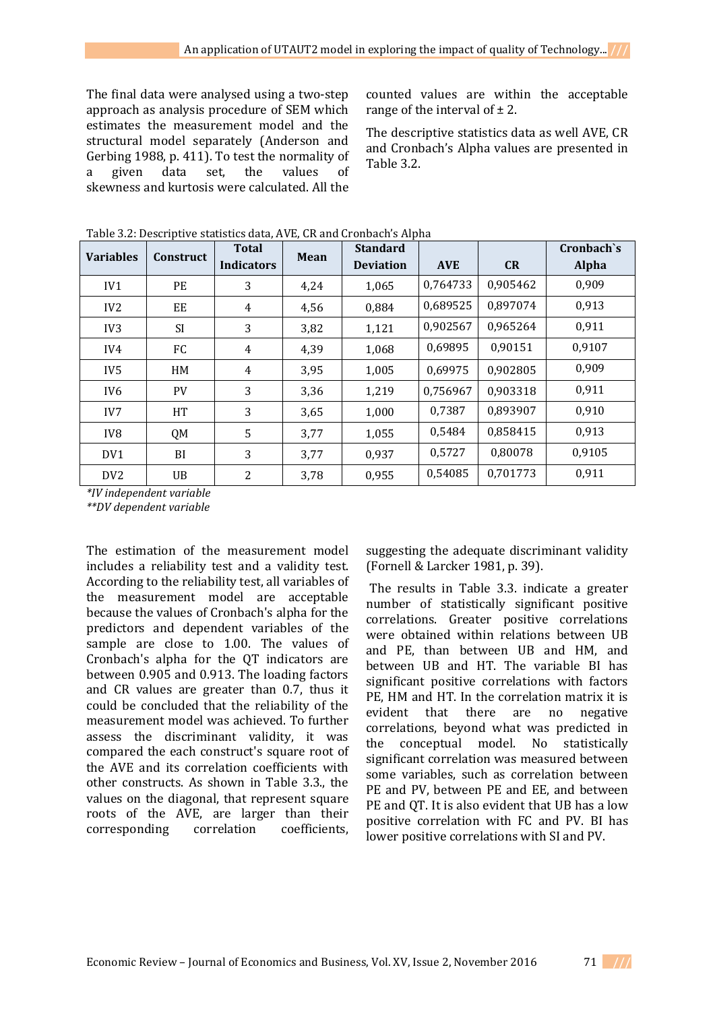The final data were analysed using a two-step approach as analysis procedure of SEM which estimates the measurement model and the structural model separately (Anderson and Gerbing 1988, p. 411). To test the normality of a given data set, the values of skewness and kurtosis were calculated. All the

counted values are within the acceptable range of the interval of  $\pm 2$ .

The descriptive statistics data as well AVE, CR and Cronbach's Alpha values are presented in Table 3.2.

| <b>Variables</b> | <b>Construct</b> | <b>Total</b>      | Mean | <b>Standard</b>  |            |          | Cronbach's |
|------------------|------------------|-------------------|------|------------------|------------|----------|------------|
|                  |                  | <b>Indicators</b> |      | <b>Deviation</b> | <b>AVE</b> | CR       | Alpha      |
| IV1              | PE               | 3                 | 4,24 | 1,065            | 0,764733   | 0,905462 | 0,909      |
| IV <sub>2</sub>  | EE               | $\overline{4}$    | 4,56 | 0,884            | 0,689525   | 0,897074 | 0,913      |
| IV <sub>3</sub>  | <b>SI</b>        | 3                 | 3,82 | 1,121            | 0,902567   | 0,965264 | 0,911      |
| IV4              | FC               | 4                 | 4,39 | 1,068            | 0,69895    | 0,90151  | 0,9107     |
| IV <sub>5</sub>  | HM               | $\overline{4}$    | 3,95 | 1,005            | 0,69975    | 0,902805 | 0,909      |
| IV <sub>6</sub>  | <b>PV</b>        | 3                 | 3,36 | 1,219            | 0,756967   | 0,903318 | 0,911      |
| IV7              | HT               | 3                 | 3,65 | 1,000            | 0,7387     | 0,893907 | 0,910      |
| IV <sub>8</sub>  | QM               | 5                 | 3,77 | 1,055            | 0,5484     | 0,858415 | 0,913      |
| DV1              | BI               | 3                 | 3,77 | 0,937            | 0.5727     | 0.80078  | 0,9105     |
| DV <sub>2</sub>  | UB.              | 2                 | 3,78 | 0,955            | 0,54085    | 0,701773 | 0,911      |

Table 3.2: Descriptive statistics data, AVE, CR and Cronbach's Alpha

*\*IV independent variable*

*\*\*DV dependent variable*

The estimation of the measurement model includes a reliability test and a validity test. According to the reliability test, all variables of the measurement model are acceptable because the values of Cronbach's alpha for the predictors and dependent variables of the sample are close to 1.00. The values of Cronbach's alpha for the QT indicators are between 0.905 and 0.913. The loading factors and CR values are greater than 0.7, thus it could be concluded that the reliability of the measurement model was achieved. To further assess the discriminant validity, it was compared the each construct's square root of the AVE and its correlation coefficients with other constructs. As shown in Table 3.3., the values on the diagonal, that represent square roots of the AVE, are larger than their corresponding correlation coefficients,

suggesting the adequate discriminant validity (Fornell & Larcker 1981, p. 39).

The results in Table 3.3. indicate a greater number of statistically significant positive correlations. Greater positive correlations were obtained within relations between UB and PE, than between UB and HM, and between UB and HT. The variable BI has significant positive correlations with factors PE, HM and HT. In the correlation matrix it is evident that there are no negative correlations, beyond what was predicted in the conceptual model. No statistically significant correlation was measured between some variables, such as correlation between PE and PV, between PE and EE, and between PE and QT. It is also evident that UB has a low positive correlation with FC and PV. BI has lower positive correlations with SI and PV.

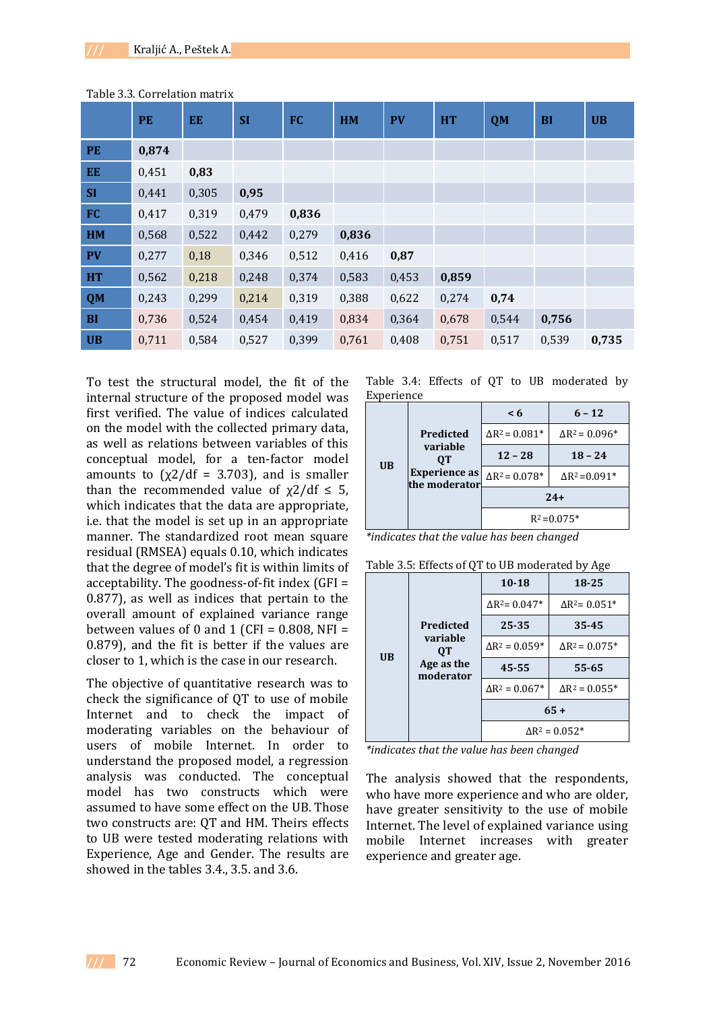|           | <b>PE</b> | EE    | <b>SI</b> | <b>FC</b> | HM    | <b>PV</b> | <b>HT</b> | <b>QM</b> | <b>BI</b> | <b>UB</b> |
|-----------|-----------|-------|-----------|-----------|-------|-----------|-----------|-----------|-----------|-----------|
| <b>PE</b> | 0,874     |       |           |           |       |           |           |           |           |           |
| <b>EE</b> | 0,451     | 0,83  |           |           |       |           |           |           |           |           |
| <b>SI</b> | 0,441     | 0,305 | 0,95      |           |       |           |           |           |           |           |
| FC        | 0,417     | 0,319 | 0,479     | 0,836     |       |           |           |           |           |           |
| HM        | 0,568     | 0,522 | 0,442     | 0,279     | 0,836 |           |           |           |           |           |
| <b>PV</b> | 0,277     | 0,18  | 0,346     | 0,512     | 0,416 | 0,87      |           |           |           |           |
| <b>HT</b> | 0,562     | 0,218 | 0,248     | 0,374     | 0,583 | 0,453     | 0,859     |           |           |           |
| <b>QM</b> | 0,243     | 0,299 | 0,214     | 0,319     | 0,388 | 0,622     | 0,274     | 0,74      |           |           |
| <b>BI</b> | 0,736     | 0,524 | 0,454     | 0,419     | 0,834 | 0,364     | 0,678     | 0,544     | 0,756     |           |
| <b>UB</b> | 0,711     | 0,584 | 0,527     | 0,399     | 0,761 | 0,408     | 0,751     | 0,517     | 0,539     | 0,735     |

Table 3.3. Correlation matrix

To test the structural model, the fit of the internal structure of the proposed model was first verified. The value of indices calculated on the model with the collected primary data, as well as relations between variables of this conceptual model, for a ten-factor model amounts to  $(x2/df = 3.703)$ , and is smaller than the recommended value of  $\chi$ 2/df  $\leq$  5, which indicates that the data are appropriate, i.e. that the model is set up in an appropriate manner. The standardized root mean square residual (RMSEA) equals 0.10, which indicates that the degree of model's fit is within limits of acceptability. The goodness-of-fit index (GFI = 0.877), as well as indices that pertain to the overall amount of explained variance range between values of 0 and 1 (CFI =  $0.808$ , NFI = 0.879), and the fit is better if the values are closer to 1, which is the case in our research.

The objective of quantitative research was to check the significance of QT to use of mobile Internet and to check the impact of moderating variables on the behaviour of users of mobile Internet. In order to understand the proposed model, a regression analysis was conducted. The conceptual model has two constructs which were assumed to have some effect on the UB. Those two constructs are: QT and HM. Theirs effects to UB were tested moderating relations with Experience, Age and Gender. The results are showed in the tables 3.4., 3.5. and 3.6.

Table 3.4: Effects of QT to UB moderated by Experience

|                                                                                   |                       | $\leq 6$               | $6 - 12$                                    |  |
|-----------------------------------------------------------------------------------|-----------------------|------------------------|---------------------------------------------|--|
| Predicted<br>variable<br>0T<br><b>UB</b><br><b>Experience as</b><br>the moderator | $\Delta R^2 = 0.081*$ |                        | $\Delta R^2 = 0.096*$                       |  |
|                                                                                   | $12 - 28$             | $18 - 24$              |                                             |  |
|                                                                                   |                       | $\Delta R^2 = 0.078^*$ | $\Delta$ R <sup>2</sup> =0.091 <sup>*</sup> |  |
|                                                                                   |                       | $24+$                  |                                             |  |
|                                                                                   |                       | $R^2 = 0.075*$         |                                             |  |

*\*indicates that the value has been changed*

|  |  |  |  | Table 3.5: Effects of QT to UB moderated by Age |  |  |
|--|--|--|--|-------------------------------------------------|--|--|
|--|--|--|--|-------------------------------------------------|--|--|

|                                      |                       | $10 - 18$                                    | 18-25                                        |  |  |  |
|--------------------------------------|-----------------------|----------------------------------------------|----------------------------------------------|--|--|--|
| Predicted                            |                       | $\Delta$ R <sup>2</sup> = 0.047 <sup>*</sup> | $\Delta$ R <sup>2</sup> = 0.051 <sup>*</sup> |  |  |  |
|                                      | 25-35                 | $35 - 45$                                    |                                              |  |  |  |
|                                      | variable<br><b>OT</b> | $\Delta$ R <sup>2</sup> = 0.059 <sup>*</sup> | $\Delta$ R <sup>2</sup> = 0.075 <sup>*</sup> |  |  |  |
| <b>UB</b><br>Age as the<br>moderator | $45 - 55$             | $55 - 65$                                    |                                              |  |  |  |
|                                      |                       | $\Delta$ R <sup>2</sup> = 0.067 <sup>*</sup> | $\Delta$ R <sup>2</sup> = 0.055 <sup>*</sup> |  |  |  |
|                                      |                       | $65+$                                        |                                              |  |  |  |
|                                      |                       | $\Delta$ R <sup>2</sup> = 0.052 <sup>*</sup> |                                              |  |  |  |

*\*indicates that the value has been changed*

The analysis showed that the respondents, who have more experience and who are older, have greater sensitivity to the use of mobile Internet. The level of explained variance using mobile Internet increases with greater experience and greater age.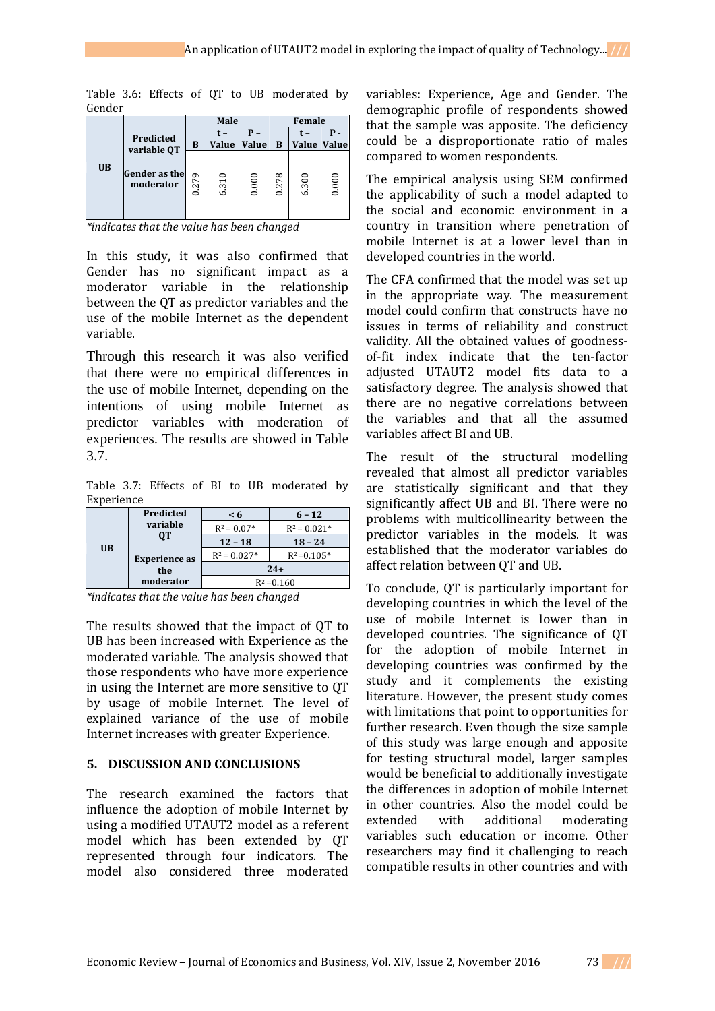| uchuch    |                                   |       |              |              |                |                    |       |
|-----------|-----------------------------------|-------|--------------|--------------|----------------|--------------------|-------|
|           |                                   | Male  |              |              | Female         |                    |       |
|           | Predicted<br>variable QT          | B     | t –<br>Value | <b>Value</b> | B              | <b>Value Value</b> |       |
| <b>UB</b> | <b>Gender</b> as the<br>moderator | 0.279 | 6.310        | 0.000        | 278<br>$\circ$ | 6.300              | 0.000 |

Table 3.6: Effects of QT to UB moderated by Condon

*\*indicates that the value has been changed*

In this study, it was also confirmed that Gender has no significant impact as a moderator variable in the relationship between the QT as predictor variables and the use of the mobile Internet as the dependent variable.

Through this research it was also verified that there were no empirical differences in the use of mobile Internet, depending on the intentions of using mobile Internet as predictor variables with moderation of experiences. The results are showed in Table 3.7.

Table 3.7: Effects of BI to UB moderated by Experience

|           | Predicted            | $\leq 6$       | $6 - 12$       |  |
|-----------|----------------------|----------------|----------------|--|
|           | variable             | $R^2 = 0.07*$  | $R^2 = 0.021*$ |  |
| <b>UB</b> | OТ                   | $12 - 18$      | $18 - 24$      |  |
|           | <b>Experience as</b> | $R^2 = 0.027*$ | $R^2 = 0.105*$ |  |
|           | the                  | $24+$          |                |  |
| moderator |                      | $R^2 = 0.160$  |                |  |

*\*indicates that the value has been changed*

The results showed that the impact of QT to UB has been increased with Experience as the moderated variable. The analysis showed that those respondents who have more experience in using the Internet are more sensitive to QT by usage of mobile Internet. The level of explained variance of the use of mobile Internet increases with greater Experience.

## **5. DISCUSSION AND CONCLUSIONS**

The research examined the factors that influence the adoption of mobile Internet by using a modified UTAUT2 model as a referent model which has been extended by QT represented through four indicators. The model also considered three moderated variables: Experience, Age and Gender. The demographic profile of respondents showed that the sample was apposite. The deficiency could be a disproportionate ratio of males compared to women respondents.

The empirical analysis using SEM confirmed the applicability of such a model adapted to the social and economic environment in a country in transition where penetration of mobile Internet is at a lower level than in developed countries in the world.

The CFA confirmed that the model was set up in the appropriate way. The measurement model could confirm that constructs have no issues in terms of reliability and construct validity. All the obtained values of goodnessof-fit index indicate that the ten-factor adjusted UTAUT2 model fits data to a satisfactory degree. The analysis showed that there are no negative correlations between the variables and that all the assumed variables affect BI and UB.

The result of the structural modelling revealed that almost all predictor variables are statistically significant and that they significantly affect UB and BI. There were no problems with multicollinearity between the predictor variables in the models. It was established that the moderator variables do affect relation between QT and UB.

To conclude, QT is particularly important for developing countries in which the level of the use of mobile Internet is lower than in developed countries. The significance of QT for the adoption of mobile Internet in developing countries was confirmed by the study and it complements the existing literature. However, the present study comes with limitations that point to opportunities for further research. Even though the size sample of this study was large enough and apposite for testing structural model, larger samples would be beneficial to additionally investigate the differences in adoption of mobile Internet in other countries. Also the model could be extended with additional moderating variables such education or income. Other researchers may find it challenging to reach compatible results in other countries and with

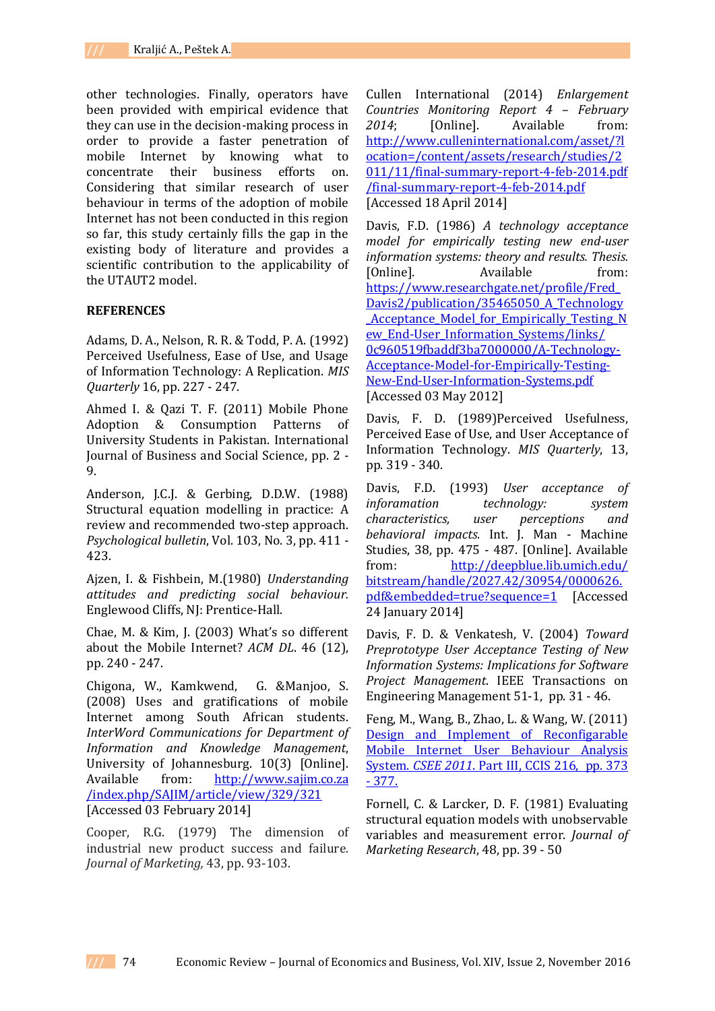other technologies. Finally, operators have been provided with empirical evidence that they can use in the decision-making process in order to provide a faster penetration of mobile Internet by knowing what to concentrate their business efforts on. Considering that similar research of user behaviour in terms of the adoption of mobile Internet has not been conducted in this region so far, this study certainly fills the gap in the existing body of literature and provides a scientific contribution to the applicability of the UTAUT2 model.

### **REFERENCES**

Adams, D. A., Nelson, R. R. & Todd, P. A. (1992) Perceived Usefulness, Ease of Use, and Usage of Information Technology: A Replication. *MIS Quarterly* 16, pp. 227 - 247.

Ahmed I. & Qazi T. F. (2011) Mobile Phone Adoption & Consumption Patterns of University Students in Pakistan. International Journal of Business and Social Science, pp. 2 - 9.

Anderson, J.C.J. & Gerbing, D.D.W. (1988) Structural equation modelling in practice: A review and recommended two-step approach. *Psychological bulletin*, Vol. 103, No. 3, pp. 411 - 423.

Ajzen, I. & Fishbein, M.(1980) *Understanding attitudes and predicting social behaviour.*  Englewood Cliffs, NJ: Prentice-Hall.

Chae, M. & Kim, J. (2003) What's so different about the Mobile Internet? *ACM DL*. 46 (12), pp. 240 - 247.

Chigona, W., Kamkwend, G. &Manjoo, S. (2008) Uses and gratifications of mobile Internet among South African students. *InterWord Communications for Department of Information and Knowledge Management*, University of Johannesburg. 10(3) [Online]. Available from: http://www.sajim.co.za /index.php/SAJIM/article/view/329/321 [Accessed 03 February 2014]

Cooper, R.G. (1979) The dimension of industrial new product success and failure*. Journal of Marketing,* 43, pp. 93-103.

Cullen International (2014) *Enlargement Countries Monitoring Report 4 – February 2014*; [Online]. Available from: [http://www.culleninternational.com/asset/?l](http://www.culleninternational.com/asset/?location=/content/assets/research/studies/2011/11/final-summary-report-4-feb-2014.pdf%20/final-summary-report-4-feb-2014.pdf) [ocation=/content/assets/research/studies/2](http://www.culleninternational.com/asset/?location=/content/assets/research/studies/2011/11/final-summary-report-4-feb-2014.pdf%20/final-summary-report-4-feb-2014.pdf) [011/11/final-summary-report-4-feb-2014.pdf](http://www.culleninternational.com/asset/?location=/content/assets/research/studies/2011/11/final-summary-report-4-feb-2014.pdf%20/final-summary-report-4-feb-2014.pdf)  [/final-summary-report-4-feb-2014.pdf](http://www.culleninternational.com/asset/?location=/content/assets/research/studies/2011/11/final-summary-report-4-feb-2014.pdf%20/final-summary-report-4-feb-2014.pdf) [Accessed 18 April 2014]

Davis, F.D. (1986) *A technology acceptance model for empirically testing new end-user information systems: theory and results. Thesis.* [Online]. Available from: [https://www.researchgate.net/profile/Fred\\_](https://www.researchgate.net/profile/Fred_Davis2/publication/35465050_A_Technology_Acceptance_Model_for_Empirically_Testing_New_End-User_Information_Systems/links/%200c960519fbaddf3ba7000000/A-Technology-Acceptance-Model-for-Empirically-Testing-New-End-User-Information-Systems.pdf) [Davis2/publication/35465050\\_A\\_Technology](https://www.researchgate.net/profile/Fred_Davis2/publication/35465050_A_Technology_Acceptance_Model_for_Empirically_Testing_New_End-User_Information_Systems/links/%200c960519fbaddf3ba7000000/A-Technology-Acceptance-Model-for-Empirically-Testing-New-End-User-Information-Systems.pdf) **Acceptance Model for Empirically Testing N** [ew\\_End-User\\_Information\\_Systems/links/](https://www.researchgate.net/profile/Fred_Davis2/publication/35465050_A_Technology_Acceptance_Model_for_Empirically_Testing_New_End-User_Information_Systems/links/%200c960519fbaddf3ba7000000/A-Technology-Acceptance-Model-for-Empirically-Testing-New-End-User-Information-Systems.pdf)  [0c960519fbaddf3ba7000000/A-Technology-](https://www.researchgate.net/profile/Fred_Davis2/publication/35465050_A_Technology_Acceptance_Model_for_Empirically_Testing_New_End-User_Information_Systems/links/%200c960519fbaddf3ba7000000/A-Technology-Acceptance-Model-for-Empirically-Testing-New-End-User-Information-Systems.pdf)[Acceptance-Model-for-Empirically-Testing-](https://www.researchgate.net/profile/Fred_Davis2/publication/35465050_A_Technology_Acceptance_Model_for_Empirically_Testing_New_End-User_Information_Systems/links/%200c960519fbaddf3ba7000000/A-Technology-Acceptance-Model-for-Empirically-Testing-New-End-User-Information-Systems.pdf)[New-End-User-Information-Systems.pdf](https://www.researchgate.net/profile/Fred_Davis2/publication/35465050_A_Technology_Acceptance_Model_for_Empirically_Testing_New_End-User_Information_Systems/links/%200c960519fbaddf3ba7000000/A-Technology-Acceptance-Model-for-Empirically-Testing-New-End-User-Information-Systems.pdf) [Accessed 03 May 2012]

Davis, F. D. (1989)Perceived Usefulness, Perceived Ease of Use, and User Acceptance of Information Technology. *MIS Quarterly*, 13, pp. 319 - 340.

Davis, F.D. (1993) *User acceptance of inforamation technology: system characteristics, user perceptions and behavioral impacts.* Int. J. Man - Machine Studies, 38, pp. 475 - 487. [Online]. Available from: [http://deepblue.lib.umich.edu/](http://deepblue.lib.umich.edu/%20bitstream/handle/2027.42/30954/0000626.pdf&embedded=true?sequence=1)  [bitstream/handle/2027.42/30954/0000626.](http://deepblue.lib.umich.edu/%20bitstream/handle/2027.42/30954/0000626.pdf&embedded=true?sequence=1) [pdf&embedded=true?sequence=1](http://deepblue.lib.umich.edu/%20bitstream/handle/2027.42/30954/0000626.pdf&embedded=true?sequence=1) [Accessed 24 January 2014]

Davis, F. D. & Venkatesh, V. (2004) *Toward Preprototype User Acceptance Testing of New Information Systems: Implications for Software Project Management*. IEEE Transactions on Engineering Management 51-1, pp. 31 - 46.

Feng, M., Wang, B., Zhao, L. & Wang, W. (2011) Design and Implement of Reconfigarable Mobile Internet User Behaviour Analysis System. *CSEE 2011*. Part III, CCIS 216, pp. 373 - 377.

Fornell, C. & Larcker, D. F. (1981) Evaluating structural equation models with unobservable variables and measurement error. *Journal of Marketing Research*, 48, pp. 39 - 50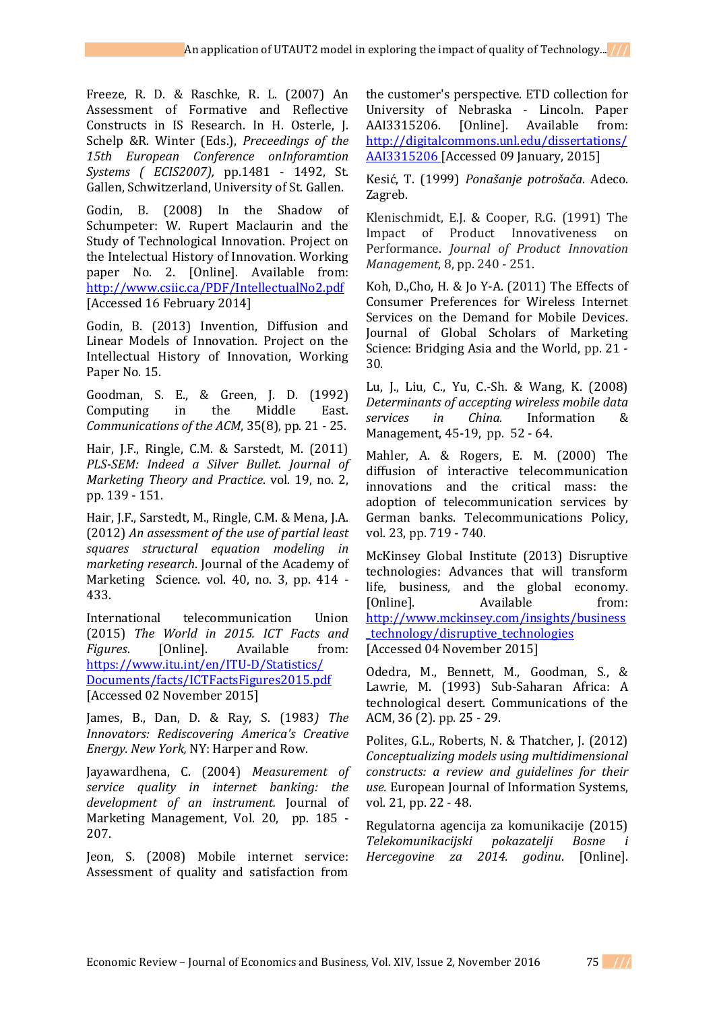Freeze, R. D. & Raschke, R. L. (2007) An Assessment of Formative and Reflective Constructs in IS Research. In H. Osterle, J. Schelp &R. Winter (Eds.), *Preceedings of the 15th European Conference onInforamtion Systems ( ECIS2007),* pp.1481 - 1492, St. Gallen, Schwitzerland, University of St. Gallen.

Godin, B. (2008) In the Shadow of Schumpeter: W. Rupert Maclaurin and the Study of Technological Innovation. Project on the Intelectual History of Innovation. Working paper No. 2. [Online]. Available from: <http://www.csiic.ca/PDF/IntellectualNo2.pdf> [Accessed 16 February 2014]

Godin, B. (2013) Invention, Diffusion and Linear Models of Innovation. Project on the Intellectual History of Innovation, Working Paper No. 15.

Goodman, S. E., & Green, J. D. (1992) Computing in the Middle East. *Communications of the ACM*, 35(8), pp. 21 - 25.

Hair, J.F., Ringle, C.M. & Sarstedt, M. (2011) *PLS-SEM: Indeed a Silver Bullet. Journal of Marketing Theory and Practice*. vol. 19, no. 2, pp. 139 - 151.

Hair, J.F., Sarstedt, M., Ringle, C.M. & Mena, J.A. (2012) *An assessment of the use of partial least squares structural equation modeling in marketing research*. Journal of the Academy of Marketing Science. vol. 40, no. 3, pp. 414 - 433.

International telecommunication Union (2015) *The World in 2015. ICT Facts and Figures.* [Online]. Available from: [https://www.itu.int/en/ITU-D/Statistics/](https://www.itu.int/en/ITU-D/Statistics/%20Documents/facts/ICTFactsFigures2015.pdf)  [Documents/facts/ICTFactsFigures2015.pdf](https://www.itu.int/en/ITU-D/Statistics/%20Documents/facts/ICTFactsFigures2015.pdf) [Accessed 02 November 2015]

James, B., Dan, D. & Ray, S. (1983*) The Innovators: Rediscovering America's Creative Energy. New York,* NY: Harper and Row.

Jayawardhena, C. (2004) *Measurement of service quality in internet banking: the development of an instrument.* Journal of Marketing Management, Vol. 20, pp. 185 - 207.

Jeon, S. (2008) Mobile internet service: Assessment of quality and satisfaction from

the customer's perspective. ETD collection for University of Nebraska - Lincoln. Paper AAI3315206. [Online]. Available from: [http://digitalcommons.unl.edu/dissertations/](http://digitalcommons.unl.edu/dissertations/AAI3315206) [AAI3315206](http://digitalcommons.unl.edu/dissertations/AAI3315206) [Accessed 09 January, 2015]

Kesić, T. (1999) *Ponašanje potrošača*. Adeco. Zagreb.

Klenischmidt, E.J. & Cooper, R.G. (1991) The Impact of Product Innovativeness on Performance. *Journal of Product Innovation Management*, 8, pp. 240 - 251.

Koh, D.,Cho, H. & Jo Y-A. (2011) The Effects of Consumer Preferences for Wireless Internet Services on the Demand for Mobile Devices. Journal of Global Scholars of Marketing Science: Bridging Asia and the World, pp. 21 - 30.

Lu, J., Liu, C., Yu, C.-Sh. & Wang, K. (2008) *Determinants of accepting wireless mobile data services in China.* Information & Management, 45-19, pp. 52 - 64.

Mahler, A. & Rogers, E. M. (2000) The diffusion of interactive telecommunication innovations and the critical mass: the adoption of telecommunication services by German banks. Telecommunications Policy, vol. 23, pp. 719 - 740.

McKinsey Global Institute (2013) Disruptive technologies: Advances that will transform life, business, and the global economy. [Online]. Available from: [http://www.mckinsey.com/insights/business](http://www.mckinsey.com/insights/business_technology/disruptive_technologies) [\\_technology/disruptive\\_technologies](http://www.mckinsey.com/insights/business_technology/disruptive_technologies)  [Accessed 04 November 2015]

Odedra, M., Bennett, M., Goodman, S., & Lawrie, M. (1993) Sub-Saharan Africa: A technological desert. Communications of the ACM, 36 (2). pp. 25 - 29.

Polites, G.L., Roberts, N. & Thatcher, J. (2012) *Conceptualizing models using multidimensional constructs: a review and guidelines for their use.* European Journal of Information Systems, vol. 21, pp. 22 - 48.

Regulatorna agencija za komunikacije (2015) *Telekomunikacijski pokazatelji Bosne i Hercegovine za 2014. godinu*. [Online].